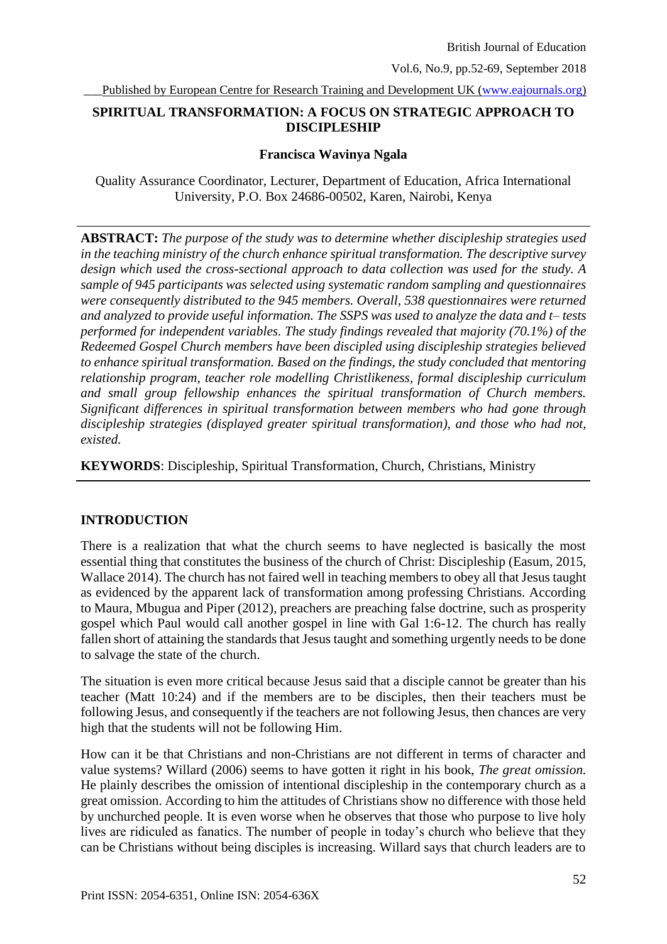Published by European Centre for Research Training and Development UK [\(www.eajournals.org\)](http://www.eajournals.org/)

# **SPIRITUAL TRANSFORMATION: A FOCUS ON STRATEGIC APPROACH TO DISCIPLESHIP**

#### **Francisca Wavinya Ngala**

Quality Assurance Coordinator, Lecturer, Department of Education, Africa International University, P.O. Box 24686-00502, Karen, Nairobi, Kenya

**ABSTRACT:** *The purpose of the study was to determine whether discipleship strategies used in the teaching ministry of the church enhance spiritual transformation. The descriptive survey design which used the cross-sectional approach to data collection was used for the study. A sample of 945 participants was selected using systematic random sampling and questionnaires were consequently distributed to the 945 members. Overall, 538 questionnaires were returned and analyzed to provide useful information. The SSPS was used to analyze the data and t– tests performed for independent variables. The study findings revealed that majority (70.1%) of the Redeemed Gospel Church members have been discipled using discipleship strategies believed to enhance spiritual transformation. Based on the findings, the study concluded that mentoring relationship program, teacher role modelling Christlikeness, formal discipleship curriculum and small group fellowship enhances the spiritual transformation of Church members. Significant differences in spiritual transformation between members who had gone through discipleship strategies (displayed greater spiritual transformation), and those who had not, existed.* 

**KEYWORDS**: Discipleship, Spiritual Transformation, Church, Christians, Ministry

# **INTRODUCTION**

There is a realization that what the church seems to have neglected is basically the most essential thing that constitutes the business of the church of Christ: Discipleship (Easum, 2015, Wallace 2014). The church has not faired well in teaching members to obey all that Jesus taught as evidenced by the apparent lack of transformation among professing Christians. According to Maura, Mbugua and Piper (2012), preachers are preaching false doctrine, such as prosperity gospel which Paul would call another gospel in line with Gal 1:6-12. The church has really fallen short of attaining the standards that Jesus taught and something urgently needs to be done to salvage the state of the church.

The situation is even more critical because Jesus said that a disciple cannot be greater than his teacher (Matt 10:24) and if the members are to be disciples, then their teachers must be following Jesus, and consequently if the teachers are not following Jesus, then chances are very high that the students will not be following Him.

How can it be that Christians and non-Christians are not different in terms of character and value systems? Willard (2006) seems to have gotten it right in his book, *The great omission.*  He plainly describes the omission of intentional discipleship in the contemporary church as a great omission. According to him the attitudes of Christians show no difference with those held by unchurched people. It is even worse when he observes that those who purpose to live holy lives are ridiculed as fanatics. The number of people in today's church who believe that they can be Christians without being disciples is increasing. Willard says that church leaders are to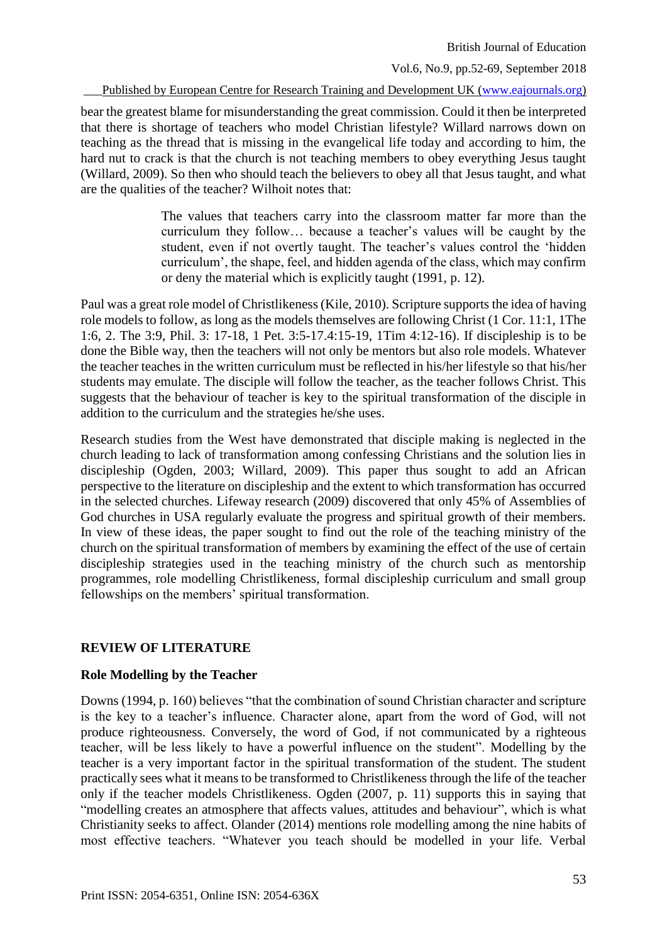British Journal of Education

Vol.6, No.9, pp.52-69, September 2018

Published by European Centre for Research Training and Development UK [\(www.eajournals.org\)](http://www.eajournals.org/)

bear the greatest blame for misunderstanding the great commission. Could it then be interpreted that there is shortage of teachers who model Christian lifestyle? Willard narrows down on teaching as the thread that is missing in the evangelical life today and according to him, the hard nut to crack is that the church is not teaching members to obey everything Jesus taught (Willard, 2009). So then who should teach the believers to obey all that Jesus taught, and what are the qualities of the teacher? Wilhoit notes that:

> The values that teachers carry into the classroom matter far more than the curriculum they follow… because a teacher's values will be caught by the student, even if not overtly taught. The teacher's values control the 'hidden curriculum', the shape, feel, and hidden agenda of the class, which may confirm or deny the material which is explicitly taught (1991, p. 12).

Paul was a great role model of Christlikeness (Kile, 2010). Scripture supports the idea of having role models to follow, as long as the models themselves are following Christ (1 Cor. 11:1, 1The 1:6, 2. The 3:9, Phil. 3: 17-18, 1 Pet. 3:5-17.4:15-19, 1Tim 4:12-16). If discipleship is to be done the Bible way, then the teachers will not only be mentors but also role models. Whatever the teacher teaches in the written curriculum must be reflected in his/her lifestyle so that his/her students may emulate. The disciple will follow the teacher, as the teacher follows Christ. This suggests that the behaviour of teacher is key to the spiritual transformation of the disciple in addition to the curriculum and the strategies he/she uses.

Research studies from the West have demonstrated that disciple making is neglected in the church leading to lack of transformation among confessing Christians and the solution lies in discipleship (Ogden, 2003; Willard, 2009). This paper thus sought to add an African perspective to the literature on discipleship and the extent to which transformation has occurred in the selected churches. Lifeway research (2009) discovered that only 45% of Assemblies of God churches in USA regularly evaluate the progress and spiritual growth of their members. In view of these ideas, the paper sought to find out the role of the teaching ministry of the church on the spiritual transformation of members by examining the effect of the use of certain discipleship strategies used in the teaching ministry of the church such as mentorship programmes, role modelling Christlikeness, formal discipleship curriculum and small group fellowships on the members' spiritual transformation.

# **REVIEW OF LITERATURE**

# **Role Modelling by the Teacher**

Downs (1994, p. 160) believes "that the combination of sound Christian character and scripture is the key to a teacher's influence. Character alone, apart from the word of God, will not produce righteousness. Conversely, the word of God, if not communicated by a righteous teacher, will be less likely to have a powerful influence on the student". Modelling by the teacher is a very important factor in the spiritual transformation of the student. The student practically sees what it means to be transformed to Christlikeness through the life of the teacher only if the teacher models Christlikeness. Ogden (2007, p. 11) supports this in saying that "modelling creates an atmosphere that affects values, attitudes and behaviour", which is what Christianity seeks to affect. Olander (2014) mentions role modelling among the nine habits of most effective teachers. "Whatever you teach should be modelled in your life. Verbal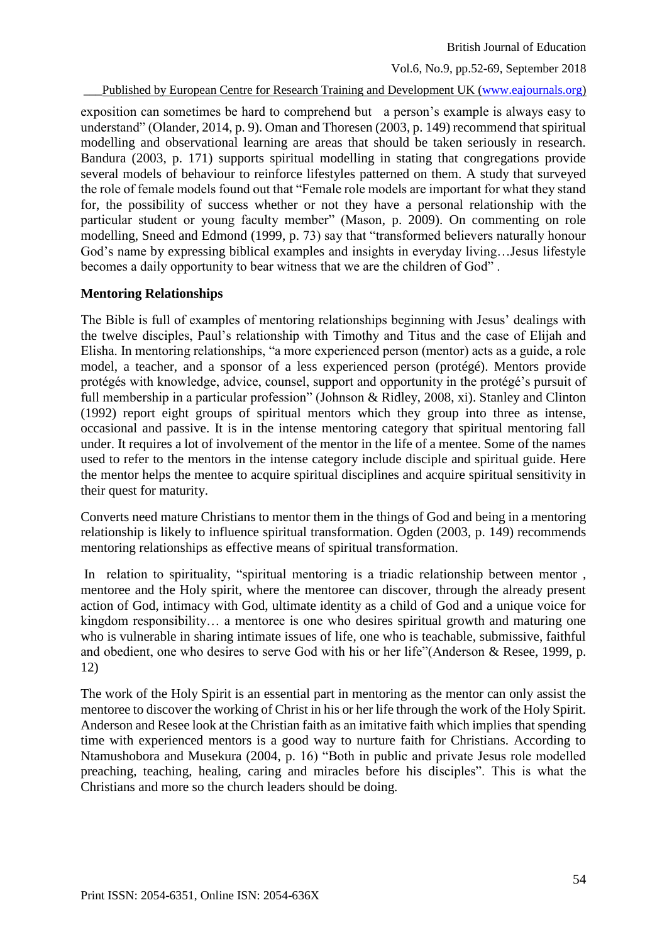British Journal of Education

Vol.6, No.9, pp.52-69, September 2018

Published by European Centre for Research Training and Development UK [\(www.eajournals.org\)](http://www.eajournals.org/)

exposition can sometimes be hard to comprehend but a person's example is always easy to understand" (Olander, 2014, p. 9). Oman and Thoresen (2003, p. 149) recommend that spiritual modelling and observational learning are areas that should be taken seriously in research. Bandura (2003, p. 171) supports spiritual modelling in stating that congregations provide several models of behaviour to reinforce lifestyles patterned on them. A study that surveyed the role of female models found out that "Female role models are important for what they stand for, the possibility of success whether or not they have a personal relationship with the particular student or young faculty member" (Mason, p. 2009). On commenting on role modelling, Sneed and Edmond (1999, p. 73) say that "transformed believers naturally honour God's name by expressing biblical examples and insights in everyday living…Jesus lifestyle becomes a daily opportunity to bear witness that we are the children of God" .

# **Mentoring Relationships**

The Bible is full of examples of mentoring relationships beginning with Jesus' dealings with the twelve disciples, Paul's relationship with Timothy and Titus and the case of Elijah and Elisha. In mentoring relationships, "a more experienced person (mentor) acts as a guide, a role model, a teacher, and a sponsor of a less experienced person (protégé). Mentors provide protégés with knowledge, advice, counsel, support and opportunity in the protégé's pursuit of full membership in a particular profession" (Johnson & Ridley, 2008, xi). Stanley and Clinton (1992) report eight groups of spiritual mentors which they group into three as intense, occasional and passive. It is in the intense mentoring category that spiritual mentoring fall under. It requires a lot of involvement of the mentor in the life of a mentee. Some of the names used to refer to the mentors in the intense category include disciple and spiritual guide. Here the mentor helps the mentee to acquire spiritual disciplines and acquire spiritual sensitivity in their quest for maturity.

Converts need mature Christians to mentor them in the things of God and being in a mentoring relationship is likely to influence spiritual transformation. Ogden (2003, p. 149) recommends mentoring relationships as effective means of spiritual transformation.

In relation to spirituality, "spiritual mentoring is a triadic relationship between mentor , mentoree and the Holy spirit, where the mentoree can discover, through the already present action of God, intimacy with God, ultimate identity as a child of God and a unique voice for kingdom responsibility… a mentoree is one who desires spiritual growth and maturing one who is vulnerable in sharing intimate issues of life, one who is teachable, submissive, faithful and obedient, one who desires to serve God with his or her life"(Anderson & Resee, 1999, p. 12)

The work of the Holy Spirit is an essential part in mentoring as the mentor can only assist the mentoree to discover the working of Christ in his or her life through the work of the Holy Spirit. Anderson and Resee look at the Christian faith as an imitative faith which implies that spending time with experienced mentors is a good way to nurture faith for Christians. According to Ntamushobora and Musekura (2004, p. 16) "Both in public and private Jesus role modelled preaching, teaching, healing, caring and miracles before his disciples". This is what the Christians and more so the church leaders should be doing.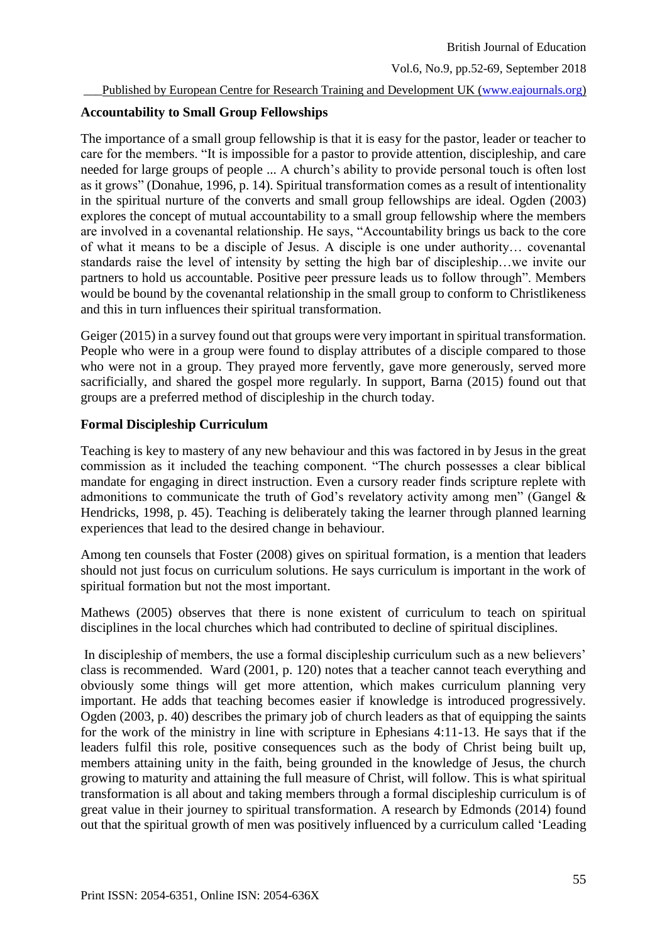# **Accountability to Small Group Fellowships**

The importance of a small group fellowship is that it is easy for the pastor, leader or teacher to care for the members. "It is impossible for a pastor to provide attention, discipleship, and care needed for large groups of people ... A church's ability to provide personal touch is often lost as it grows" (Donahue, 1996, p. 14). Spiritual transformation comes as a result of intentionality in the spiritual nurture of the converts and small group fellowships are ideal. Ogden (2003) explores the concept of mutual accountability to a small group fellowship where the members are involved in a covenantal relationship. He says, "Accountability brings us back to the core of what it means to be a disciple of Jesus. A disciple is one under authority… covenantal standards raise the level of intensity by setting the high bar of discipleship…we invite our partners to hold us accountable. Positive peer pressure leads us to follow through". Members would be bound by the covenantal relationship in the small group to conform to Christlikeness and this in turn influences their spiritual transformation.

Geiger (2015) in a survey found out that groups were very important in spiritual transformation. People who were in a group were found to display attributes of a disciple compared to those who were not in a group. They prayed more fervently, gave more generously, served more sacrificially, and shared the gospel more regularly. In support, Barna (2015) found out that groups are a preferred method of discipleship in the church today.

# **Formal Discipleship Curriculum**

Teaching is key to mastery of any new behaviour and this was factored in by Jesus in the great commission as it included the teaching component. "The church possesses a clear biblical mandate for engaging in direct instruction. Even a cursory reader finds scripture replete with admonitions to communicate the truth of God's revelatory activity among men" (Gangel & Hendricks, 1998, p. 45). Teaching is deliberately taking the learner through planned learning experiences that lead to the desired change in behaviour.

Among ten counsels that Foster (2008) gives on spiritual formation, is a mention that leaders should not just focus on curriculum solutions. He says curriculum is important in the work of spiritual formation but not the most important.

Mathews (2005) observes that there is none existent of curriculum to teach on spiritual disciplines in the local churches which had contributed to decline of spiritual disciplines.

In discipleship of members, the use a formal discipleship curriculum such as a new believers' class is recommended. Ward (2001, p. 120) notes that a teacher cannot teach everything and obviously some things will get more attention, which makes curriculum planning very important. He adds that teaching becomes easier if knowledge is introduced progressively. Ogden (2003, p. 40) describes the primary job of church leaders as that of equipping the saints for the work of the ministry in line with scripture in Ephesians 4:11-13. He says that if the leaders fulfil this role, positive consequences such as the body of Christ being built up, members attaining unity in the faith, being grounded in the knowledge of Jesus, the church growing to maturity and attaining the full measure of Christ, will follow. This is what spiritual transformation is all about and taking members through a formal discipleship curriculum is of great value in their journey to spiritual transformation. A research by Edmonds (2014) found out that the spiritual growth of men was positively influenced by a curriculum called 'Leading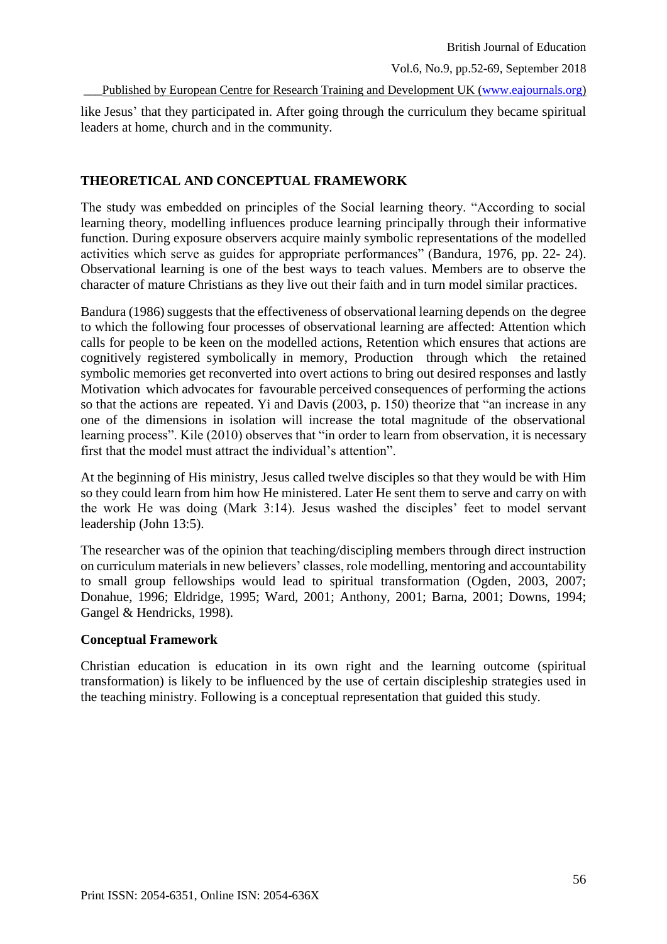Published by European Centre for Research Training and Development UK [\(www.eajournals.org\)](http://www.eajournals.org/)

like Jesus' that they participated in. After going through the curriculum they became spiritual leaders at home, church and in the community.

# **THEORETICAL AND CONCEPTUAL FRAMEWORK**

The study was embedded on principles of the Social learning theory. "According to social learning theory, modelling influences produce learning principally through their informative function. During exposure observers acquire mainly symbolic representations of the modelled activities which serve as guides for appropriate performances" (Bandura, 1976, pp. 22- 24). Observational learning is one of the best ways to teach values. Members are to observe the character of mature Christians as they live out their faith and in turn model similar practices.

Bandura (1986) suggests that the effectiveness of observational learning depends on the degree to which the following four processes of observational learning are affected: Attention which calls for people to be keen on the modelled actions, Retention which ensures that actions are cognitively registered symbolically in memory, Production through which the retained symbolic memories get reconverted into overt actions to bring out desired responses and lastly Motivation which advocates for favourable perceived consequences of performing the actions so that the actions are repeated. Yi and Davis (2003, p. 150) theorize that "an increase in any one of the dimensions in isolation will increase the total magnitude of the observational learning process". Kile (2010) observes that "in order to learn from observation, it is necessary first that the model must attract the individual's attention".

At the beginning of His ministry, Jesus called twelve disciples so that they would be with Him so they could learn from him how He ministered. Later He sent them to serve and carry on with the work He was doing (Mark 3:14). Jesus washed the disciples' feet to model servant leadership (John 13:5).

The researcher was of the opinion that teaching/discipling members through direct instruction on curriculum materials in new believers' classes, role modelling, mentoring and accountability to small group fellowships would lead to spiritual transformation (Ogden, 2003, 2007; Donahue, 1996; Eldridge, 1995; Ward, 2001; Anthony, 2001; Barna, 2001; Downs, 1994; Gangel & Hendricks, 1998).

# **Conceptual Framework**

Christian education is education in its own right and the learning outcome (spiritual transformation) is likely to be influenced by the use of certain discipleship strategies used in the teaching ministry. Following is a conceptual representation that guided this study.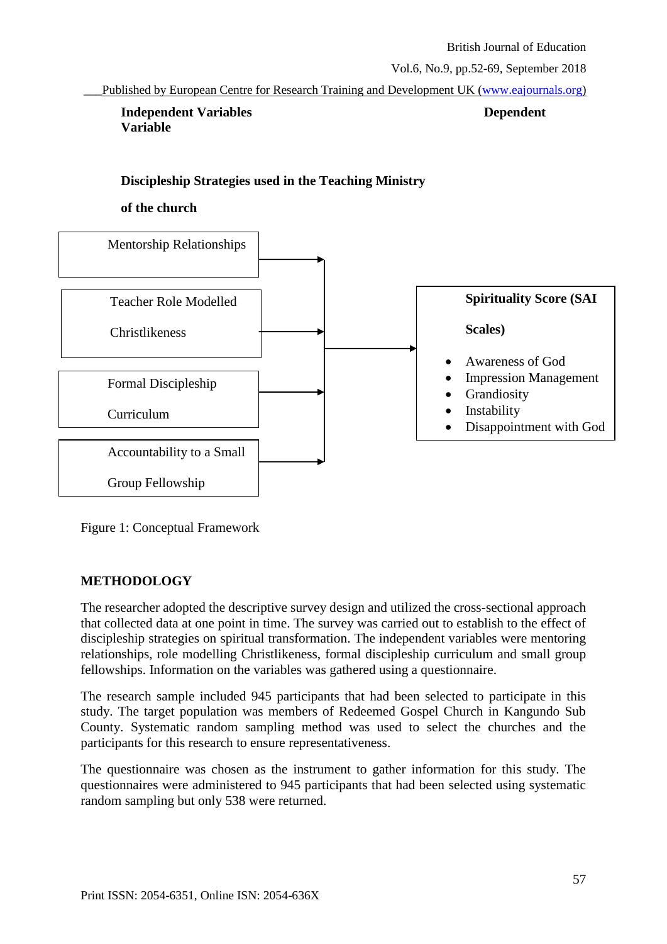\_\_\_Published by European Centre for Research Training and Development UK [\(www.eajournals.org\)](http://www.eajournals.org/)

**Independent Variables Dependent Variable** 

# **Discipleship Strategies used in the Teaching Ministry**

#### **of the church**



Figure 1: Conceptual Framework

# **METHODOLOGY**

The researcher adopted the descriptive survey design and utilized the cross-sectional approach that collected data at one point in time. The survey was carried out to establish to the effect of discipleship strategies on spiritual transformation. The independent variables were mentoring relationships, role modelling Christlikeness, formal discipleship curriculum and small group fellowships. Information on the variables was gathered using a questionnaire.

The research sample included 945 participants that had been selected to participate in this study. The target population was members of Redeemed Gospel Church in Kangundo Sub County. Systematic random sampling method was used to select the churches and the participants for this research to ensure representativeness.

The questionnaire was chosen as the instrument to gather information for this study. The questionnaires were administered to 945 participants that had been selected using systematic random sampling but only 538 were returned.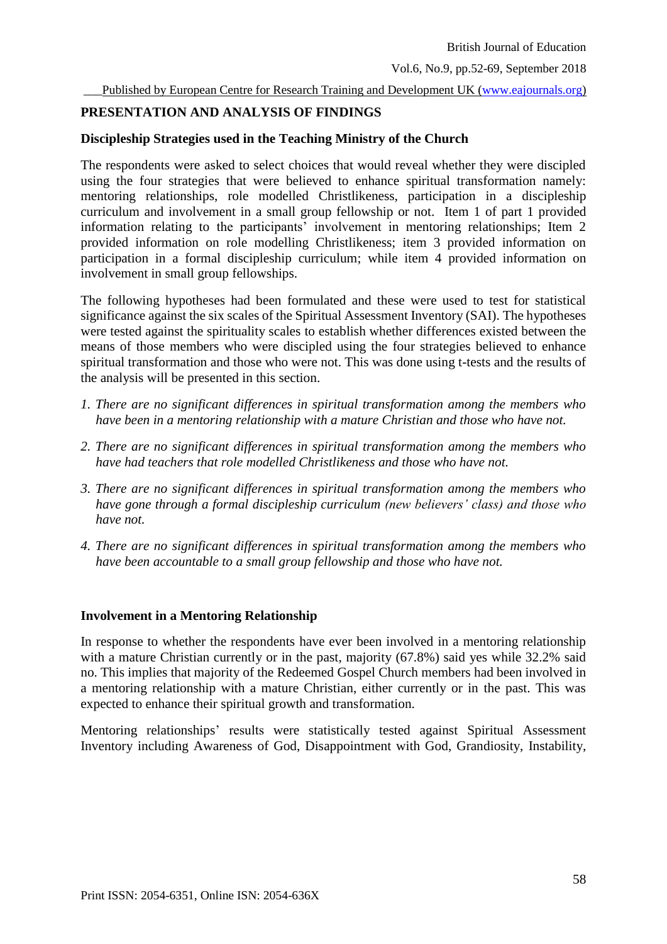Published by European Centre for Research Training and Development UK [\(www.eajournals.org\)](http://www.eajournals.org/)

#### **PRESENTATION AND ANALYSIS OF FINDINGS**

#### **Discipleship Strategies used in the Teaching Ministry of the Church**

The respondents were asked to select choices that would reveal whether they were discipled using the four strategies that were believed to enhance spiritual transformation namely: mentoring relationships, role modelled Christlikeness, participation in a discipleship curriculum and involvement in a small group fellowship or not. Item 1 of part 1 provided information relating to the participants' involvement in mentoring relationships; Item 2 provided information on role modelling Christlikeness; item 3 provided information on participation in a formal discipleship curriculum; while item 4 provided information on involvement in small group fellowships.

The following hypotheses had been formulated and these were used to test for statistical significance against the six scales of the Spiritual Assessment Inventory (SAI). The hypotheses were tested against the spirituality scales to establish whether differences existed between the means of those members who were discipled using the four strategies believed to enhance spiritual transformation and those who were not. This was done using t-tests and the results of the analysis will be presented in this section.

- *1. There are no significant differences in spiritual transformation among the members who have been in a mentoring relationship with a mature Christian and those who have not.*
- *2. There are no significant differences in spiritual transformation among the members who have had teachers that role modelled Christlikeness and those who have not.*
- *3. There are no significant differences in spiritual transformation among the members who have gone through a formal discipleship curriculum (new believers' class) and those who have not.*
- *4. There are no significant differences in spiritual transformation among the members who have been accountable to a small group fellowship and those who have not.*

# **Involvement in a Mentoring Relationship**

In response to whether the respondents have ever been involved in a mentoring relationship with a mature Christian currently or in the past, majority (67.8%) said yes while 32.2% said no. This implies that majority of the Redeemed Gospel Church members had been involved in a mentoring relationship with a mature Christian, either currently or in the past. This was expected to enhance their spiritual growth and transformation.

Mentoring relationships' results were statistically tested against Spiritual Assessment Inventory including Awareness of God, Disappointment with God, Grandiosity, Instability,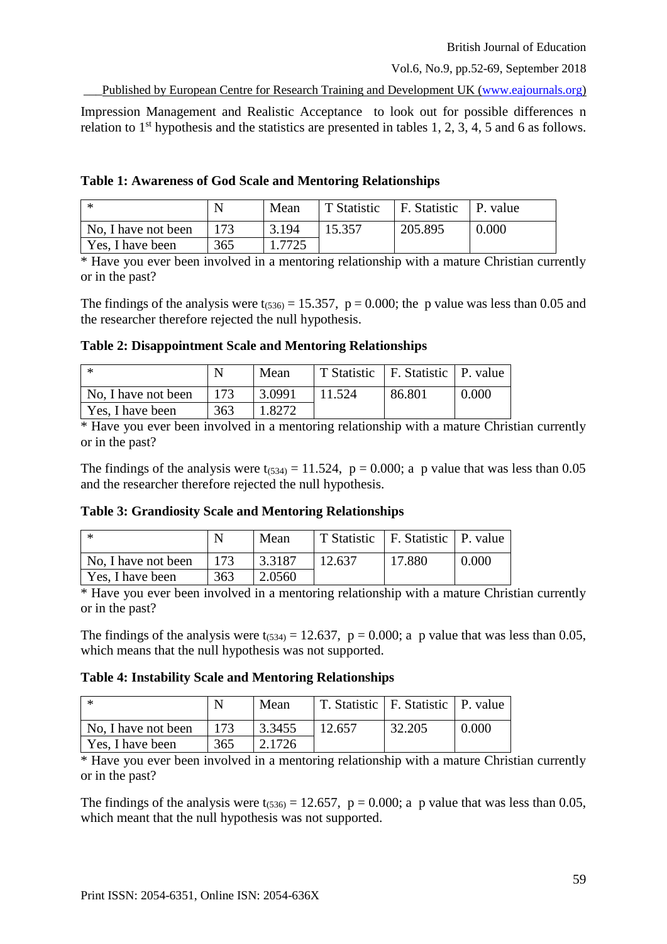\_\_\_Published by European Centre for Research Training and Development UK [\(www.eajournals.org\)](http://www.eajournals.org/)

Impression Management and Realistic Acceptance to look out for possible differences n relation to  $1<sup>st</sup>$  hypothesis and the statistics are presented in tables 1, 2, 3, 4, 5 and 6 as follows.

**Table 1: Awareness of God Scale and Mentoring Relationships**

| - *                 |     | Mean  | T Statistic | <sup>1</sup> F. Statistic | P. value |
|---------------------|-----|-------|-------------|---------------------------|----------|
| No, I have not been |     | 3.194 | 15.357      | 205.895                   | 0.000    |
| Yes, I have been    | 365 | .7725 |             |                           |          |

\* Have you ever been involved in a mentoring relationship with a mature Christian currently or in the past?

The findings of the analysis were  $t_{(536)} = 15.357$ ,  $p = 0.000$ ; the p value was less than 0.05 and the researcher therefore rejected the null hypothesis.

**Table 2: Disappointment Scale and Mentoring Relationships**

| l *                 |     | Mean   |        | T Statistic   F. Statistic   P. value |       |
|---------------------|-----|--------|--------|---------------------------------------|-------|
| No, I have not been | 173 | 3.0991 | 11.524 | 86.801                                | 0.000 |
| Yes, I have been    | 363 | 1.8272 |        |                                       |       |

\* Have you ever been involved in a mentoring relationship with a mature Christian currently or in the past?

The findings of the analysis were  $t_{(534)} = 11.524$ ,  $p = 0.000$ ; a p value that was less than 0.05 and the researcher therefore rejected the null hypothesis.

# **Table 3: Grandiosity Scale and Mentoring Relationships**

|                     |     | Mean   |        | T Statistic   F. Statistic   P. value |       |
|---------------------|-----|--------|--------|---------------------------------------|-------|
| No, I have not been | 173 | 3.3187 | 12.637 | 17.880                                | 0.000 |
| Yes, I have been    | 363 | 2.0560 |        |                                       |       |

\* Have you ever been involved in a mentoring relationship with a mature Christian currently or in the past?

The findings of the analysis were  $t_{(534)} = 12.637$ ,  $p = 0.000$ ; a p value that was less than 0.05, which means that the null hypothesis was not supported.

# **Table 4: Instability Scale and Mentoring Relationships**

| l ж                 |     | Mean   |        | T. Statistic   F. Statistic   P. value |       |
|---------------------|-----|--------|--------|----------------------------------------|-------|
| No, I have not been | 173 | 3.3455 | 12.657 | 32.205                                 | 0.000 |
| Yes, I have been    | 365 | 2.1726 |        |                                        |       |

\* Have you ever been involved in a mentoring relationship with a mature Christian currently or in the past?

The findings of the analysis were  $t_{(536)} = 12.657$ ,  $p = 0.000$ ; a p value that was less than 0.05, which meant that the null hypothesis was not supported.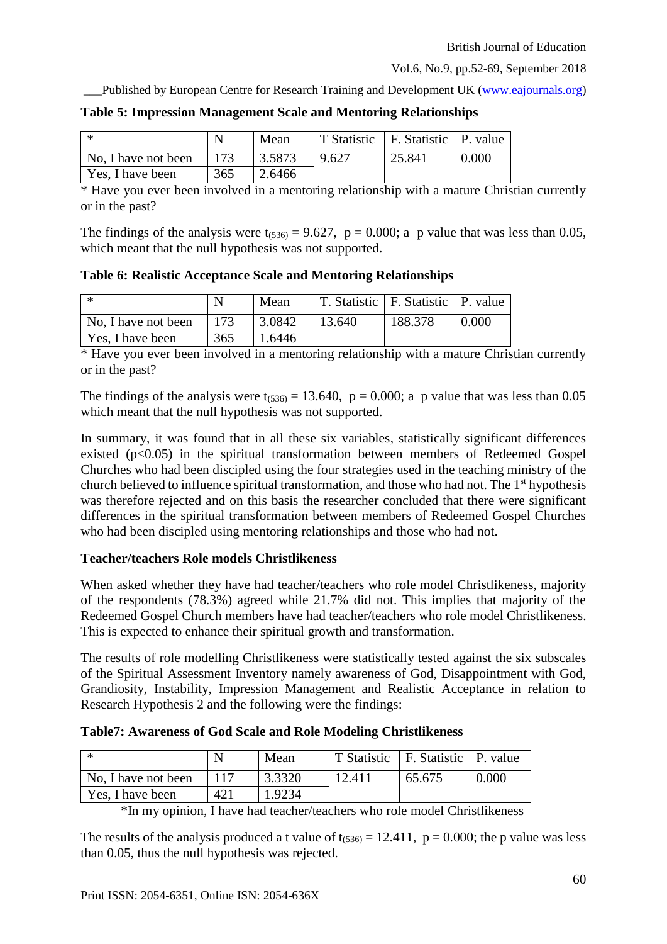Published by European Centre for Research Training and Development UK [\(www.eajournals.org\)](http://www.eajournals.org/)

| - *                                |     | Mean   |       | T Statistic   F. Statistic   P. value |       |
|------------------------------------|-----|--------|-------|---------------------------------------|-------|
| $\overline{N}$ No, I have not been | 173 | 3.5873 | 9.627 | 25.841                                | 0.000 |
| Yes, I have been                   | 365 | 2.6466 |       |                                       |       |

\* Have you ever been involved in a mentoring relationship with a mature Christian currently or in the past?

The findings of the analysis were  $t_{(536)} = 9.627$ ,  $p = 0.000$ ; a p value that was less than 0.05, which meant that the null hypothesis was not supported.

**Table 6: Realistic Acceptance Scale and Mentoring Relationships**

|                     |     | Mean   |        | T. Statistic   F. Statistic   P. value |       |
|---------------------|-----|--------|--------|----------------------------------------|-------|
| No, I have not been | 173 | 3.0842 | 13.640 | 188.378                                | 0.000 |
| Yes, I have been    | 365 | 1.6446 |        |                                        |       |

\* Have you ever been involved in a mentoring relationship with a mature Christian currently or in the past?

The findings of the analysis were  $t_{(536)} = 13.640$ ,  $p = 0.000$ ; a p value that was less than 0.05 which meant that the null hypothesis was not supported.

In summary, it was found that in all these six variables, statistically significant differences existed (p<0.05) in the spiritual transformation between members of Redeemed Gospel Churches who had been discipled using the four strategies used in the teaching ministry of the church believed to influence spiritual transformation, and those who had not. The 1<sup>st</sup> hypothesis was therefore rejected and on this basis the researcher concluded that there were significant differences in the spiritual transformation between members of Redeemed Gospel Churches who had been discipled using mentoring relationships and those who had not.

# **Teacher/teachers Role models Christlikeness**

When asked whether they have had teacher/teachers who role model Christlikeness, majority of the respondents (78.3%) agreed while 21.7% did not. This implies that majority of the Redeemed Gospel Church members have had teacher/teachers who role model Christlikeness. This is expected to enhance their spiritual growth and transformation.

The results of role modelling Christlikeness were statistically tested against the six subscales of the Spiritual Assessment Inventory namely awareness of God, Disappointment with God, Grandiosity, Instability, Impression Management and Realistic Acceptance in relation to Research Hypothesis 2 and the following were the findings:

| Table7: Awareness of God Scale and Role Modeling Christlikeness |  |  |  |
|-----------------------------------------------------------------|--|--|--|
|-----------------------------------------------------------------|--|--|--|

| - *                 |     | Mean   | T Statistic | F. Statistic   P. value |       |
|---------------------|-----|--------|-------------|-------------------------|-------|
| No, I have not been |     | 3.3320 | 12.411      | 65.675                  | 0.000 |
| Yes, I have been    | 421 | 1.9234 |             |                         |       |

\*In my opinion, I have had teacher/teachers who role model Christlikeness

The results of the analysis produced a t value of  $t_{(536)} = 12.411$ ,  $p = 0.000$ ; the p value was less than 0.05, thus the null hypothesis was rejected.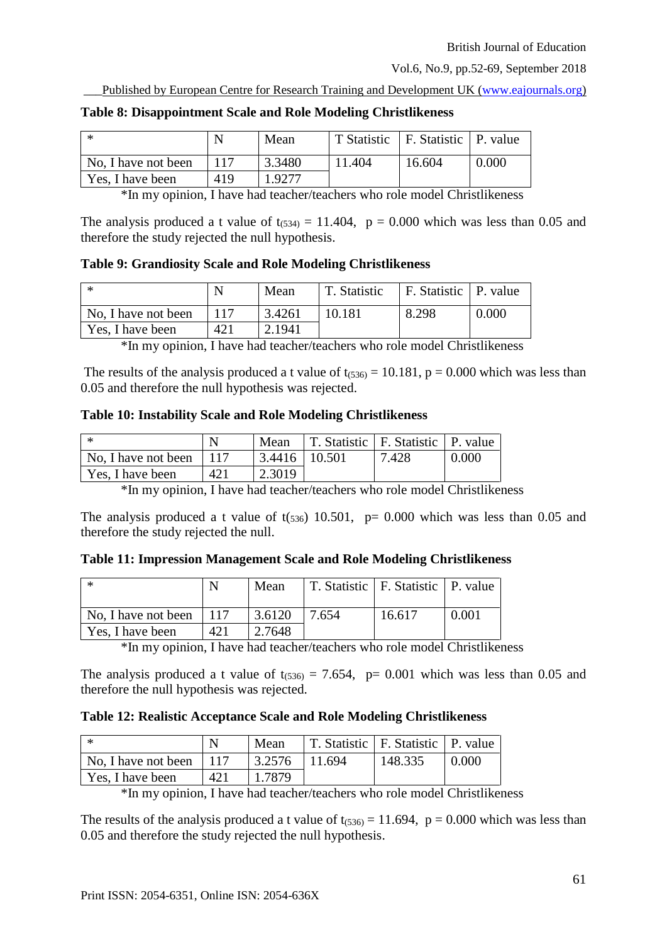\_\_\_Published by European Centre for Research Training and Development UK [\(www.eajournals.org\)](http://www.eajournals.org/)

| - *                 |     | Mean   |        | T Statistic   F. Statistic   P. value |       |
|---------------------|-----|--------|--------|---------------------------------------|-------|
| No, I have not been |     | 3.3480 | 11.404 | 16.604                                | 0.000 |
| Yes, I have been    | 419 | 1.9277 |        |                                       |       |

#### **Table 8: Disappointment Scale and Role Modeling Christlikeness**

\*In my opinion, I have had teacher/teachers who role model Christlikeness

The analysis produced a t value of  $t_{(534)} = 11.404$ ,  $p = 0.000$  which was less than 0.05 and therefore the study rejected the null hypothesis.

#### **Table 9: Grandiosity Scale and Role Modeling Christlikeness**

| -∗                  |     | Mean   | T. Statistic | F. Statistic   P. value |       |
|---------------------|-----|--------|--------------|-------------------------|-------|
| No, I have not been | 117 | 3.4261 | 10.181       | 8.298                   | 0.000 |
| Yes, I have been    | 421 | 2.1941 |              |                         |       |

\*In my opinion, I have had teacher/teachers who role model Christlikeness

The results of the analysis produced a t value of  $t_{(536)} = 10.181$ , p = 0.000 which was less than 0.05 and therefore the null hypothesis was rejected.

# **Table 10: Instability Scale and Role Modeling Christlikeness**

| l *                 |     | Mean              | T. Statistic   F. Statistic   P. value |       |       |
|---------------------|-----|-------------------|----------------------------------------|-------|-------|
| No, I have not been |     | $3.4416$   10.501 |                                        | 7.428 | 0.000 |
| Yes, I have been    | 421 | 2.3019            |                                        |       |       |

\*In my opinion, I have had teacher/teachers who role model Christlikeness

The analysis produced a t value of  $t(s_{36})$  10.501, p= 0.000 which was less than 0.05 and therefore the study rejected the null.

**Table 11: Impression Management Scale and Role Modeling Christlikeness** 

| i *                 |      | Mean   |       | T. Statistic   F. Statistic   P. value |       |
|---------------------|------|--------|-------|----------------------------------------|-------|
| No, I have not been | -117 | 3.6120 | 7.654 | 16.617                                 | 0.001 |
| Yes, I have been    | 421  | 2.7648 |       |                                        |       |

\*In my opinion, I have had teacher/teachers who role model Christlikeness

The analysis produced a t value of  $t_{(536)} = 7.654$ , p= 0.001 which was less than 0.05 and therefore the null hypothesis was rejected.

# **Table 12: Realistic Acceptance Scale and Role Modeling Christlikeness**

| l *                       |     | Mean   | T. Statistic   F. Statistic   P. value |         |       |
|---------------------------|-----|--------|----------------------------------------|---------|-------|
| No. I have not been   117 |     | 3.2576 | 11.694                                 | 148.335 | 0.000 |
| Yes, I have been          | 421 | 1.7879 |                                        |         |       |

\*In my opinion, I have had teacher/teachers who role model Christlikeness

The results of the analysis produced a t value of  $t_{(536)} = 11.694$ ,  $p = 0.000$  which was less than 0.05 and therefore the study rejected the null hypothesis.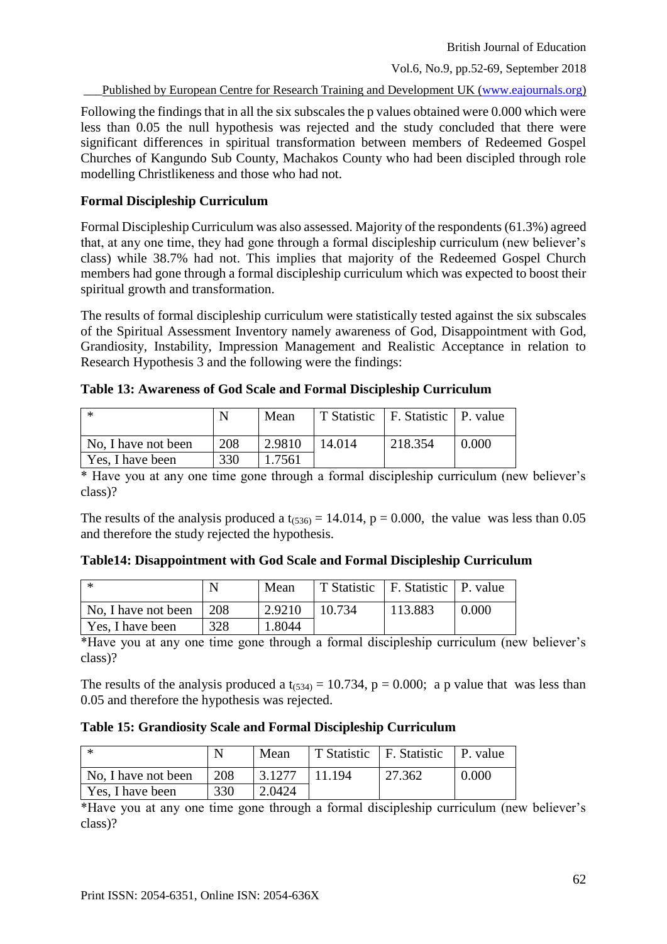Published by European Centre for Research Training and Development UK [\(www.eajournals.org\)](http://www.eajournals.org/)

Following the findings that in all the six subscales the p values obtained were 0.000 which were less than 0.05 the null hypothesis was rejected and the study concluded that there were significant differences in spiritual transformation between members of Redeemed Gospel Churches of Kangundo Sub County, Machakos County who had been discipled through role modelling Christlikeness and those who had not.

#### **Formal Discipleship Curriculum**

Formal Discipleship Curriculum was also assessed. Majority of the respondents (61.3%) agreed that, at any one time, they had gone through a formal discipleship curriculum (new believer's class) while 38.7% had not. This implies that majority of the Redeemed Gospel Church members had gone through a formal discipleship curriculum which was expected to boost their spiritual growth and transformation.

The results of formal discipleship curriculum were statistically tested against the six subscales of the Spiritual Assessment Inventory namely awareness of God, Disappointment with God, Grandiosity, Instability, Impression Management and Realistic Acceptance in relation to Research Hypothesis 3 and the following were the findings:

| . *                 | N   | Mean   |        | T Statistic   F. Statistic   P. value |       |
|---------------------|-----|--------|--------|---------------------------------------|-------|
| No, I have not been | 208 | 2.9810 | 14.014 | 218.354                               | 0.000 |
| Yes, I have been    | 330 | 1.7561 |        |                                       |       |

**Table 13: Awareness of God Scale and Formal Discipleship Curriculum**

\* Have you at any one time gone through a formal discipleship curriculum (new believer's class)?

The results of the analysis produced a  $t_{(536)} = 14.014$ ,  $p = 0.000$ , the value was less than 0.05 and therefore the study rejected the hypothesis.

| Table14: Disappointment with God Scale and Formal Discipleship Curriculum |  |  |  |
|---------------------------------------------------------------------------|--|--|--|
|---------------------------------------------------------------------------|--|--|--|

| - *                             |     | Mean   |        | T Statistic   F. Statistic   P. value |       |
|---------------------------------|-----|--------|--------|---------------------------------------|-------|
| No, I have not been $\vert$ 208 |     | 2.9210 | 10.734 | 113.883                               | 0.000 |
| Yes, I have been                | 328 | 1.8044 |        |                                       |       |

\*Have you at any one time gone through a formal discipleship curriculum (new believer's class)?

The results of the analysis produced a  $t_{(534)} = 10.734$ ,  $p = 0.000$ ; a p value that was less than 0.05 and therefore the hypothesis was rejected.

#### **Table 15: Grandiosity Scale and Formal Discipleship Curriculum**

| ∣ ≭                 |     | Mean   |        | T Statistic   F. Statistic   P. value |       |
|---------------------|-----|--------|--------|---------------------------------------|-------|
| No. I have not been | 208 | 3.1277 | 11.194 | 27.362                                | 0.000 |
| Yes, I have been    | 330 | 2.0424 |        |                                       |       |

\*Have you at any one time gone through a formal discipleship curriculum (new believer's class)?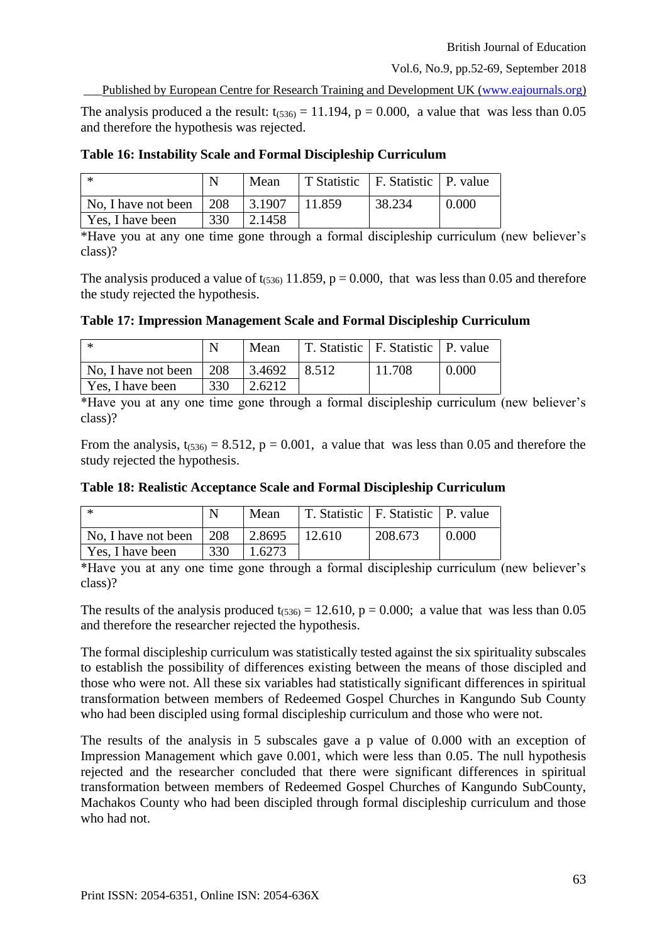Published by European Centre for Research Training and Development UK [\(www.eajournals.org\)](http://www.eajournals.org/)

The analysis produced a the result:  $t_{(536)} = 11.194$ ,  $p = 0.000$ , a value that was less than 0.05 and therefore the hypothesis was rejected.

| - *                 |              | Mean   |        | T Statistic   F. Statistic   P. value |       |
|---------------------|--------------|--------|--------|---------------------------------------|-------|
| No, I have not been | $\sqrt{208}$ | 3.1907 | 11.859 | 38.234                                | 0.000 |
| Yes, I have been    | 330          | 2.1458 |        |                                       |       |

#### **Table 16: Instability Scale and Formal Discipleship Curriculum**

\*Have you at any one time gone through a formal discipleship curriculum (new believer's class)?

The analysis produced a value of  $t_{(536)}$  11.859, p = 0.000, that was less than 0.05 and therefore the study rejected the hypothesis.

# **Table 17: Impression Management Scale and Formal Discipleship Curriculum**

| 1 米                 |     | Mean   |       | T. Statistic   F. Statistic   P. value |       |
|---------------------|-----|--------|-------|----------------------------------------|-------|
| No, I have not been | 208 | 3.4692 | 8.512 | 11.708                                 | 0.000 |
| Yes, I have been    | 330 | 2.6212 |       |                                        |       |

\*Have you at any one time gone through a formal discipleship curriculum (new believer's class)?

From the analysis,  $t_{(536)} = 8.512$ ,  $p = 0.001$ , a value that was less than 0.05 and therefore the study rejected the hypothesis.

|  | Table 18: Realistic Acceptance Scale and Formal Discipleship Curriculum |  |  |  |
|--|-------------------------------------------------------------------------|--|--|--|
|--|-------------------------------------------------------------------------|--|--|--|

| l *                 | N   | Mean   |        | T. Statistic   F. Statistic   P. value |       |
|---------------------|-----|--------|--------|----------------------------------------|-------|
| No, I have not been | 208 | 2.8695 | 12.610 | 208.673                                | 0.000 |
| Yes, I have been    | 330 | 1.6273 |        |                                        |       |

\*Have you at any one time gone through a formal discipleship curriculum (new believer's class)?

The results of the analysis produced  $t_{(536)} = 12.610$ ,  $p = 0.000$ ; a value that was less than 0.05 and therefore the researcher rejected the hypothesis.

The formal discipleship curriculum was statistically tested against the six spirituality subscales to establish the possibility of differences existing between the means of those discipled and those who were not. All these six variables had statistically significant differences in spiritual transformation between members of Redeemed Gospel Churches in Kangundo Sub County who had been discipled using formal discipleship curriculum and those who were not.

The results of the analysis in 5 subscales gave a p value of 0.000 with an exception of Impression Management which gave 0.001, which were less than 0.05. The null hypothesis rejected and the researcher concluded that there were significant differences in spiritual transformation between members of Redeemed Gospel Churches of Kangundo SubCounty, Machakos County who had been discipled through formal discipleship curriculum and those who had not.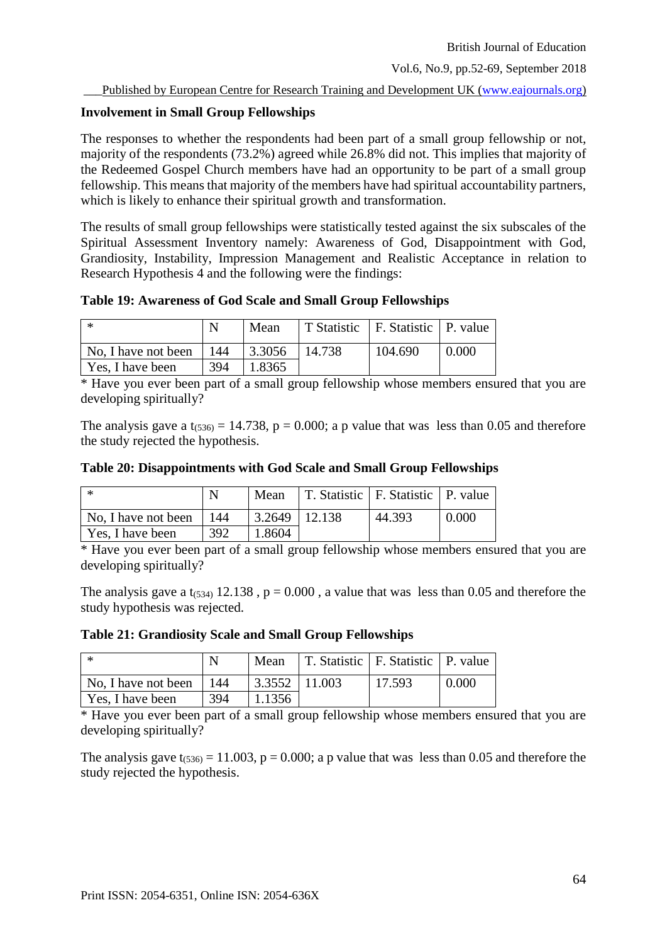# **Involvement in Small Group Fellowships**

The responses to whether the respondents had been part of a small group fellowship or not, majority of the respondents (73.2%) agreed while 26.8% did not. This implies that majority of the Redeemed Gospel Church members have had an opportunity to be part of a small group fellowship. This means that majority of the members have had spiritual accountability partners, which is likely to enhance their spiritual growth and transformation.

The results of small group fellowships were statistically tested against the six subscales of the Spiritual Assessment Inventory namely: Awareness of God, Disappointment with God, Grandiosity, Instability, Impression Management and Realistic Acceptance in relation to Research Hypothesis 4 and the following were the findings:

**Table 19: Awareness of God Scale and Small Group Fellowships** 

| 上来                  |            | Mean          |        | T Statistic   F. Statistic   P. value |       |
|---------------------|------------|---------------|--------|---------------------------------------|-------|
| No, I have not been | $\mid$ 144 | $\mid$ 3.3056 | 14.738 | 104.690                               | 0.000 |
| Yes, I have been    | 394        | 1.8365        |        |                                       |       |

\* Have you ever been part of a small group fellowship whose members ensured that you are developing spiritually?

The analysis gave a  $t_{(536)} = 14.738$ ,  $p = 0.000$ ; a p value that was less than 0.05 and therefore the study rejected the hypothesis.

| Table 20: Disappointments with God Scale and Small Group Fellowships |
|----------------------------------------------------------------------|
|----------------------------------------------------------------------|

| - *                 |     | Mean                              | T. Statistic   F. Statistic   P. value |       |
|---------------------|-----|-----------------------------------|----------------------------------------|-------|
| No, I have not been | 144 | $\vert 3.2649 \vert 12.138 \vert$ | 44.393                                 | 0.000 |
| Yes, I have been    | 392 | 1.8604                            |                                        |       |

\* Have you ever been part of a small group fellowship whose members ensured that you are developing spiritually?

The analysis gave a t<sub>(534)</sub> 12.138,  $p = 0.000$ , a value that was less than 0.05 and therefore the study hypothesis was rejected.

**Table 21: Grandiosity Scale and Small Group Fellowships** 

| - *                 |      | Mean              | T. Statistic   F. Statistic   P. value |       |
|---------------------|------|-------------------|----------------------------------------|-------|
| No, I have not been | -144 | $3.3552$   11.003 | 17.593                                 | 0.000 |
| Yes, I have been    | 394  | 1.1356            |                                        |       |

\* Have you ever been part of a small group fellowship whose members ensured that you are developing spiritually?

The analysis gave  $t_{(536)} = 11.003$ ,  $p = 0.000$ ; a p value that was less than 0.05 and therefore the study rejected the hypothesis.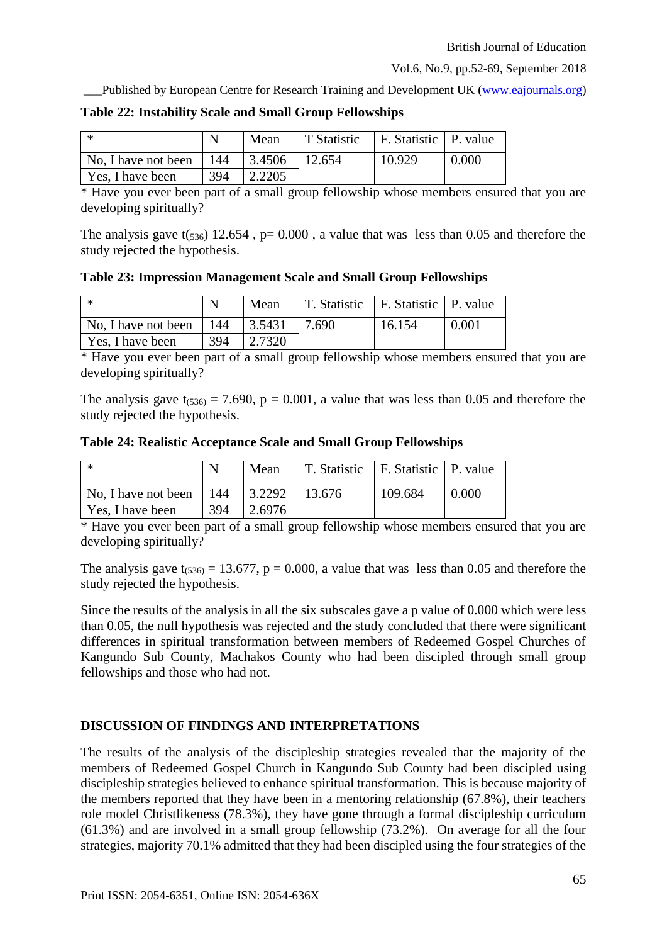Published by European Centre for Research Training and Development UK [\(www.eajournals.org\)](http://www.eajournals.org/)

| l *                                                                   |     | Mean    | T Statistic   F. Statistic   P. value |        |       |
|-----------------------------------------------------------------------|-----|---------|---------------------------------------|--------|-------|
| $\vert$ No, I have not been $\vert$ 144 $\vert$ 3.4506 $\vert$ 12.654 |     |         |                                       | 10.929 | 0.000 |
| Yes, I have been                                                      | 394 | 12.2205 |                                       |        |       |

#### **Table 22: Instability Scale and Small Group Fellowships**

\* Have you ever been part of a small group fellowship whose members ensured that you are developing spiritually?

The analysis gave  $t(s_{36})$  12.654, p= 0.000, a value that was less than 0.05 and therefore the study rejected the hypothesis.

**Table 23: Impression Management Scale and Small Group Fellowships** 

| -*                  |     | Mean   | T. Statistic   F. Statistic   P. value |        |       |
|---------------------|-----|--------|----------------------------------------|--------|-------|
| No, I have not been | 144 | 3.5431 | 7.690                                  | 16.154 | 0.001 |
| Yes, I have been    | 394 | 2.7320 |                                        |        |       |

\* Have you ever been part of a small group fellowship whose members ensured that you are developing spiritually?

The analysis gave  $t_{(536)} = 7.690$ ,  $p = 0.001$ , a value that was less than 0.05 and therefore the study rejected the hypothesis.

**Table 24: Realistic Acceptance Scale and Small Group Fellowships** 

| -*                          |     | Mean    | T. Statistic   F. Statistic   P. value |         |       |
|-----------------------------|-----|---------|----------------------------------------|---------|-------|
| No. I have not been   $144$ |     | 3.2292  | 13.676                                 | 109.684 | 0.000 |
| Yes, I have been            | 394 | 12.6976 |                                        |         |       |

\* Have you ever been part of a small group fellowship whose members ensured that you are developing spiritually?

The analysis gave  $t_{(536)} = 13.677$ ,  $p = 0.000$ , a value that was less than 0.05 and therefore the study rejected the hypothesis.

Since the results of the analysis in all the six subscales gave a p value of 0.000 which were less than 0.05, the null hypothesis was rejected and the study concluded that there were significant differences in spiritual transformation between members of Redeemed Gospel Churches of Kangundo Sub County, Machakos County who had been discipled through small group fellowships and those who had not.

# **DISCUSSION OF FINDINGS AND INTERPRETATIONS**

The results of the analysis of the discipleship strategies revealed that the majority of the members of Redeemed Gospel Church in Kangundo Sub County had been discipled using discipleship strategies believed to enhance spiritual transformation. This is because majority of the members reported that they have been in a mentoring relationship (67.8%), their teachers role model Christlikeness (78.3%), they have gone through a formal discipleship curriculum (61.3%) and are involved in a small group fellowship (73.2%). On average for all the four strategies, majority 70.1% admitted that they had been discipled using the four strategies of the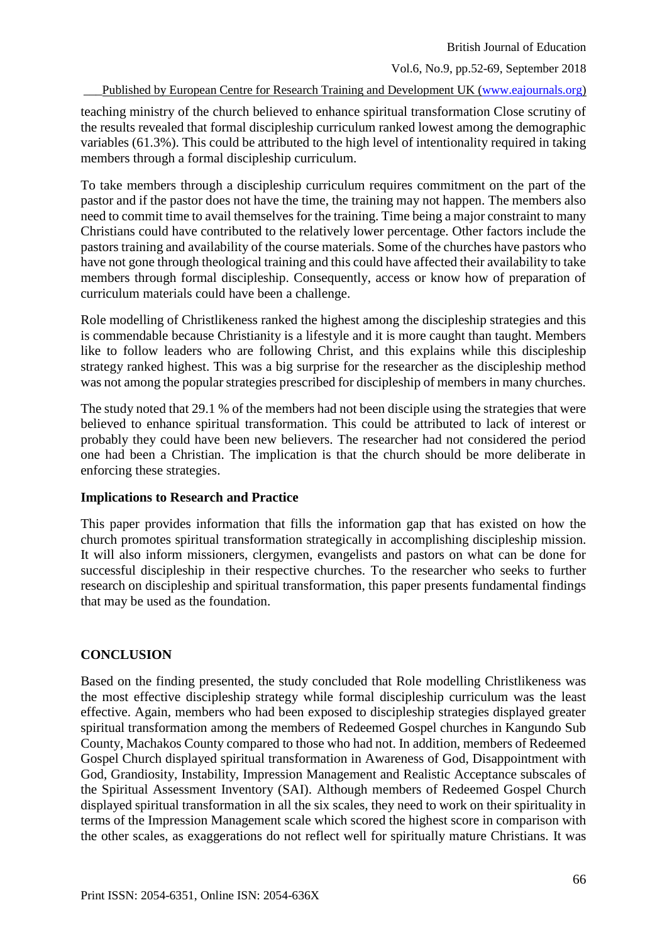British Journal of Education

Vol.6, No.9, pp.52-69, September 2018

Published by European Centre for Research Training and Development UK [\(www.eajournals.org\)](http://www.eajournals.org/)

teaching ministry of the church believed to enhance spiritual transformation Close scrutiny of the results revealed that formal discipleship curriculum ranked lowest among the demographic variables (61.3%). This could be attributed to the high level of intentionality required in taking members through a formal discipleship curriculum.

To take members through a discipleship curriculum requires commitment on the part of the pastor and if the pastor does not have the time, the training may not happen. The members also need to commit time to avail themselves for the training. Time being a major constraint to many Christians could have contributed to the relatively lower percentage. Other factors include the pastors training and availability of the course materials. Some of the churches have pastors who have not gone through theological training and this could have affected their availability to take members through formal discipleship. Consequently, access or know how of preparation of curriculum materials could have been a challenge.

Role modelling of Christlikeness ranked the highest among the discipleship strategies and this is commendable because Christianity is a lifestyle and it is more caught than taught. Members like to follow leaders who are following Christ, and this explains while this discipleship strategy ranked highest. This was a big surprise for the researcher as the discipleship method was not among the popular strategies prescribed for discipleship of members in many churches.

The study noted that 29.1 % of the members had not been disciple using the strategies that were believed to enhance spiritual transformation. This could be attributed to lack of interest or probably they could have been new believers. The researcher had not considered the period one had been a Christian. The implication is that the church should be more deliberate in enforcing these strategies.

# **Implications to Research and Practice**

This paper provides information that fills the information gap that has existed on how the church promotes spiritual transformation strategically in accomplishing discipleship mission. It will also inform missioners, clergymen, evangelists and pastors on what can be done for successful discipleship in their respective churches. To the researcher who seeks to further research on discipleship and spiritual transformation, this paper presents fundamental findings that may be used as the foundation.

# **CONCLUSION**

Based on the finding presented, the study concluded that Role modelling Christlikeness was the most effective discipleship strategy while formal discipleship curriculum was the least effective. Again, members who had been exposed to discipleship strategies displayed greater spiritual transformation among the members of Redeemed Gospel churches in Kangundo Sub County, Machakos County compared to those who had not. In addition, members of Redeemed Gospel Church displayed spiritual transformation in Awareness of God, Disappointment with God, Grandiosity, Instability, Impression Management and Realistic Acceptance subscales of the Spiritual Assessment Inventory (SAI). Although members of Redeemed Gospel Church displayed spiritual transformation in all the six scales, they need to work on their spirituality in terms of the Impression Management scale which scored the highest score in comparison with the other scales, as exaggerations do not reflect well for spiritually mature Christians. It was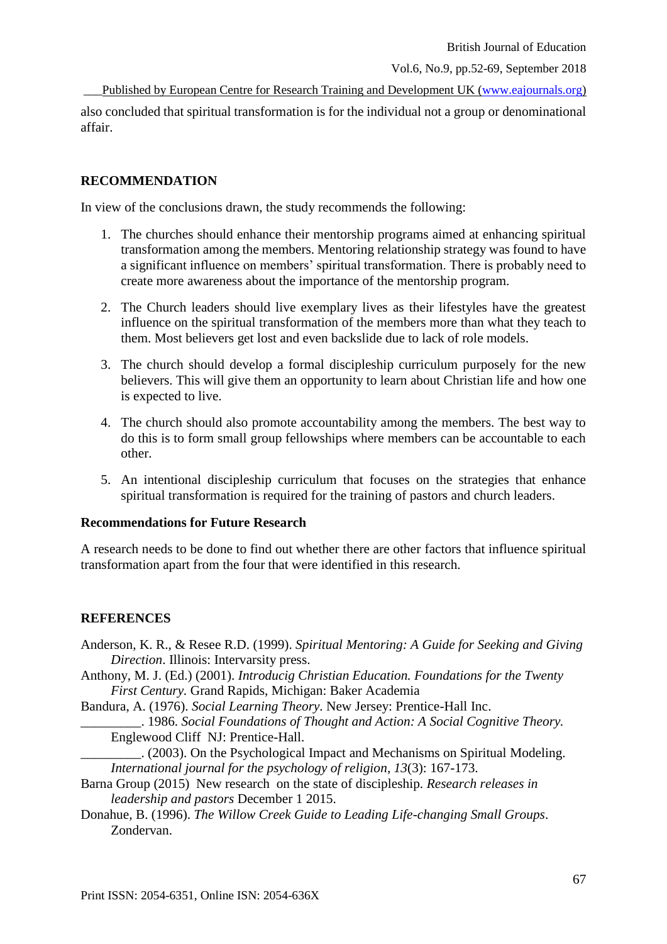Published by European Centre for Research Training and Development UK [\(www.eajournals.org\)](http://www.eajournals.org/) also concluded that spiritual transformation is for the individual not a group or denominational affair.

# **RECOMMENDATION**

In view of the conclusions drawn, the study recommends the following:

- 1. The churches should enhance their mentorship programs aimed at enhancing spiritual transformation among the members. Mentoring relationship strategy was found to have a significant influence on members' spiritual transformation. There is probably need to create more awareness about the importance of the mentorship program.
- 2. The Church leaders should live exemplary lives as their lifestyles have the greatest influence on the spiritual transformation of the members more than what they teach to them. Most believers get lost and even backslide due to lack of role models.
- 3. The church should develop a formal discipleship curriculum purposely for the new believers. This will give them an opportunity to learn about Christian life and how one is expected to live.
- 4. The church should also promote accountability among the members. The best way to do this is to form small group fellowships where members can be accountable to each other.
- 5. An intentional discipleship curriculum that focuses on the strategies that enhance spiritual transformation is required for the training of pastors and church leaders.

# **Recommendations for Future Research**

A research needs to be done to find out whether there are other factors that influence spiritual transformation apart from the four that were identified in this research.

# **REFERENCES**

- Anderson, K. R., & Resee R.D. (1999). *Spiritual Mentoring: A Guide for Seeking and Giving Direction*. Illinois: Intervarsity press.
- Anthony, M. J. (Ed.) (2001). *Introducig Christian Education. Foundations for the Twenty First Century.* Grand Rapids, Michigan: Baker Academia

Bandura, A. (1976). *Social Learning Theory*. New Jersey: Prentice-Hall Inc.

\_\_\_\_\_\_\_\_\_. 1986. *Social Foundations of Thought and Action: A Social Cognitive Theory.* Englewood Cliff NJ: Prentice-Hall.

- \_\_\_\_\_\_\_\_\_. (2003). On the Psychological Impact and Mechanisms on Spiritual Modeling. *International journal for the psychology of religion, 13*(3): 167-173.
- Barna Group (2015) New research on the state of discipleship. *Research releases in leadership and pastors* December 1 2015.
- Donahue, B. (1996). *The Willow Creek Guide to Leading Life-changing Small Groups*. Zondervan.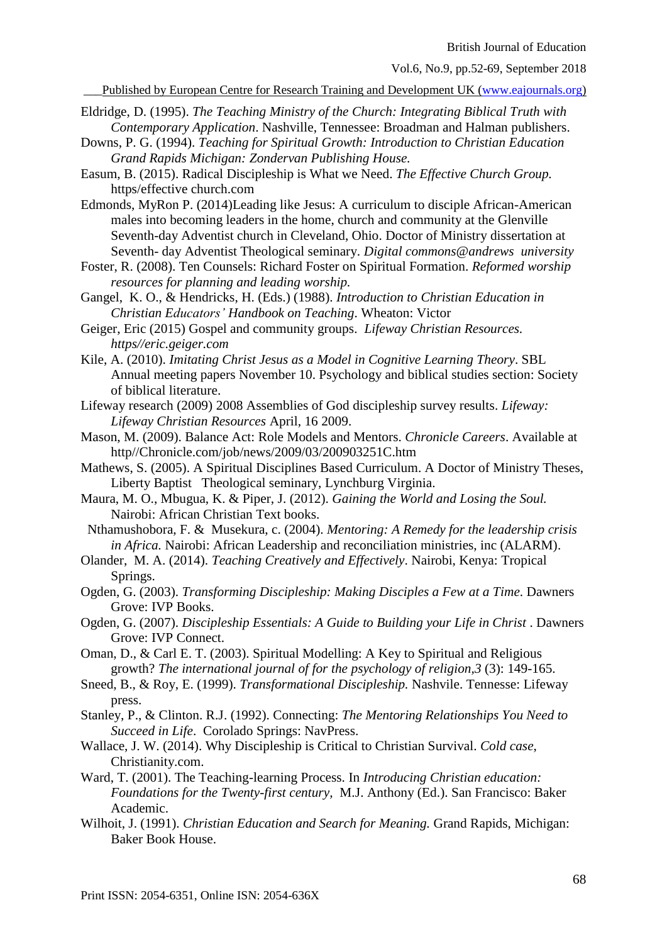Published by European Centre for Research Training and Development UK [\(www.eajournals.org\)](http://www.eajournals.org/)

- Eldridge, D. (1995). *The Teaching Ministry of the Church: Integrating Biblical Truth with Contemporary Application*. Nashville, Tennessee: Broadman and Halman publishers.
- Downs, P. G. (1994). *Teaching for Spiritual Growth: Introduction to Christian Education Grand Rapids Michigan: Zondervan Publishing House.*
- Easum, B. (2015). Radical Discipleship is What we Need. *The Effective Church Group.* https/effective church.com
- Edmonds, MyRon P. (2014)Leading like Jesus: A curriculum to disciple African-American males into becoming leaders in the home, church and community at the Glenville Seventh-day Adventist church in Cleveland, Ohio. Doctor of Ministry dissertation at Seventh- day Adventist Theological seminary. *Digital commons@andrews university*
- Foster, R. (2008). Ten Counsels: Richard Foster on Spiritual Formation. *Reformed worship resources for planning and leading worship.*
- Gangel, K. O., & Hendricks, H. (Eds.) (1988). *Introduction to Christian Education in Christian Educators' Handbook on Teaching*. Wheaton: Victor
- Geiger, Eric (2015) Gospel and community groups. *Lifeway Christian Resources. https//eric.geiger.com*
- Kile, A. (2010). *Imitating Christ Jesus as a Model in Cognitive Learning Theory*. SBL Annual meeting papers November 10. Psychology and biblical studies section: Society of biblical literature.
- Lifeway research (2009) 2008 Assemblies of God discipleship survey results. *Lifeway: Lifeway Christian Resources* April, 16 2009.
- Mason, M. (2009). Balance Act: Role Models and Mentors. *Chronicle Careers*. Available at http//Chronicle.com/job/news/2009/03/200903251C.htm
- Mathews, S. (2005). A Spiritual Disciplines Based Curriculum. A Doctor of Ministry Theses, Liberty Baptist Theological seminary, Lynchburg Virginia.
- Maura, M. O., Mbugua, K. & Piper, J. (2012). *Gaining the World and Losing the Soul.* Nairobi: African Christian Text books.
- Nthamushobora, F. & Musekura, c. (2004). *Mentoring: A Remedy for the leadership crisis in Africa.* Nairobi: African Leadership and reconciliation ministries, inc (ALARM).
- Olander, M. A. (2014). *Teaching Creatively and Effectively*. Nairobi, Kenya: Tropical Springs.
- Ogden, G. (2003). *Transforming Discipleship: Making Disciples a Few at a Time*. Dawners Grove: IVP Books.
- Ogden, G. (2007). *Discipleship Essentials: A Guide to Building your Life in Christ*. Dawners Grove: IVP Connect.
- Oman, D., & Carl E. T. (2003). Spiritual Modelling: A Key to Spiritual and Religious growth? *The international journal of for the psychology of religion,3* (3): 149-165.
- Sneed, B., & Roy, E. (1999). *Transformational Discipleship.* Nashvile. Tennesse: Lifeway press.
- Stanley, P., & Clinton. R.J. (1992). Connecting: *The Mentoring Relationships You Need to Succeed in Life*. Corolado Springs: NavPress.
- Wallace, J. W. (2014). Why Discipleship is Critical to Christian Survival. *Cold case*, Christianity.com.
- Ward, T. (2001). The Teaching-learning Process. In *Introducing Christian education: Foundations for the Twenty-first century,* M.J. Anthony (Ed.). San Francisco: Baker Academic.
- Wilhoit, J. (1991). *Christian Education and Search for Meaning.* Grand Rapids, Michigan: Baker Book House.